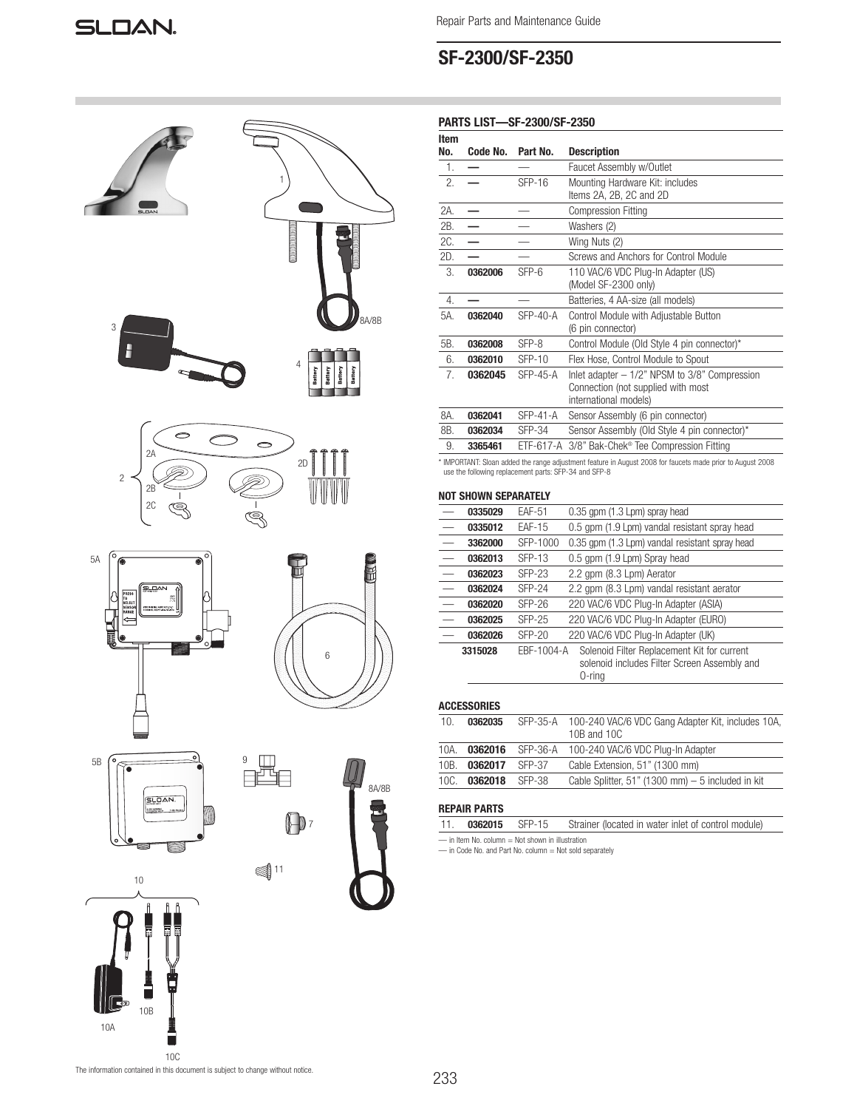# SF-2300/SF-2350

| <b>PARTS LIST-SF-2300/SF-2350</b> |  |  |  |
|-----------------------------------|--|--|--|
|-----------------------------------|--|--|--|

| Item |          |               |                                                                                                                   |
|------|----------|---------------|-------------------------------------------------------------------------------------------------------------------|
| No.  | Code No. | Part No.      | <b>Description</b>                                                                                                |
| 1.   |          |               | Faucet Assembly w/Outlet                                                                                          |
| 2.   |          | $SFP-16$      | Mounting Hardware Kit: includes<br>Items 2A, 2B, 2C and 2D                                                        |
| 2A.  |          |               | <b>Compression Fitting</b>                                                                                        |
| 2B.  |          |               | Washers (2)                                                                                                       |
| 2C.  |          |               | Wing Nuts (2)                                                                                                     |
| 2D.  |          |               | Screws and Anchors for Control Module                                                                             |
| 3.   | 0362006  | $SFP-6$       | 110 VAC/6 VDC Plug-In Adapter (US)<br>(Model SF-2300 only)                                                        |
| 4.   |          |               | Batteries, 4 AA-size (all models)                                                                                 |
| 5A.  | 0362040  | $SFP-40-A$    | Control Module with Adjustable Button<br>(6 pin connector)                                                        |
| 5B.  | 0362008  | SFP-8         | Control Module (Old Style 4 pin connector)*                                                                       |
| 6.   | 0362010  | $SFP-10$      | Flex Hose, Control Module to Spout                                                                                |
| 7.   | 0362045  | $SFP-45-A$    | Inlet adapter $-1/2$ " NPSM to $3/8$ " Compression<br>Connection (not supplied with most<br>international models) |
| 8A.  | 0362041  | $SFP-41-A$    | Sensor Assembly (6 pin connector)                                                                                 |
| 8B.  | 0362034  | <b>SFP-34</b> | Sensor Assembly (Old Style 4 pin connector)*                                                                      |
| 9.   | 3365461  |               | ETF-617-A 3/8" Bak-Chek® Tee Compression Fitting                                                                  |
|      |          |               | * IMPORTANT: Sloan added the range adjustment feature in August 2008 for faucets made prior to August 2008        |

\* IMPORTANT: Sloan added the range adjustment feature in August 2008 for faucets made prior to August 2008 use the following replacement parts: SFP-34 and SFP-8

## NOT SHOWN SEPARATELY

| 0.35 gpm (1.3 Lpm) spray head<br><b>EAF-51</b><br>0335029                                         |  |
|---------------------------------------------------------------------------------------------------|--|
|                                                                                                   |  |
| 0.5 gpm (1.9 Lpm) vandal resistant spray head<br><b>EAF-15</b><br>0335012                         |  |
| 0.35 gpm (1.3 Lpm) vandal resistant spray head<br>$\overline{\phantom{0}}$<br>SFP-1000<br>3362000 |  |
| SFP-13<br>0.5 gpm (1.9 Lpm) Spray head<br>0362013                                                 |  |
| 2.2 gpm (8.3 Lpm) Aerator<br>$SFP-23$<br>0362023                                                  |  |
| 2.2 gpm (8.3 Lpm) vandal resistant aerator<br><b>SFP-24</b><br>0362024                            |  |
| 220 VAC/6 VDC Plug-In Adapter (ASIA)<br><b>SFP-26</b><br>0362020                                  |  |
| 220 VAC/6 VDC Plug-In Adapter (EURO)<br><b>SFP-25</b><br>0362025                                  |  |
| 220 VAC/6 VDC Plug-In Adapter (UK)<br>$SFP-20$<br>0362026                                         |  |
| Solenoid Filter Replacement Kit for current<br>EBF-1004-A<br>3315028                              |  |
| solenoid includes Filter Screen Assembly and                                                      |  |
| 0-ring                                                                                            |  |

## ACCESSORIES

| 10.  | 0362035 |        | SFP-35-A 100-240 VAC/6 VDC Gang Adapter Kit, includes 10A,<br>10B and 10C |
|------|---------|--------|---------------------------------------------------------------------------|
| 10A. | 0362016 |        | SFP-36-A 100-240 VAC/6 VDC Plug-In Adapter                                |
| 10B. | 0362017 | SFP-37 | Cable Extension, 51" (1300 mm)                                            |
| 10C. | 0362018 | SFP-38 | Cable Splitter, 51" (1300 mm) $-5$ included in kit                        |
|      |         |        |                                                                           |

## REPAIR PARTS

|                                                       | 11. 0362015 SFP-15 |  | Strainer (located in water inlet of control module) |  |  |
|-------------------------------------------------------|--------------------|--|-----------------------------------------------------|--|--|
| $=$ in Item No. column $=$ Not shown in illustration. |                    |  |                                                     |  |  |

— in Item No. column = Not shown in illustration — in Code No. and Part No. column = Not sold separately





2D

4

Battery

8A/8B

1

**MARKET AND STATE** 



10B

10A





٦